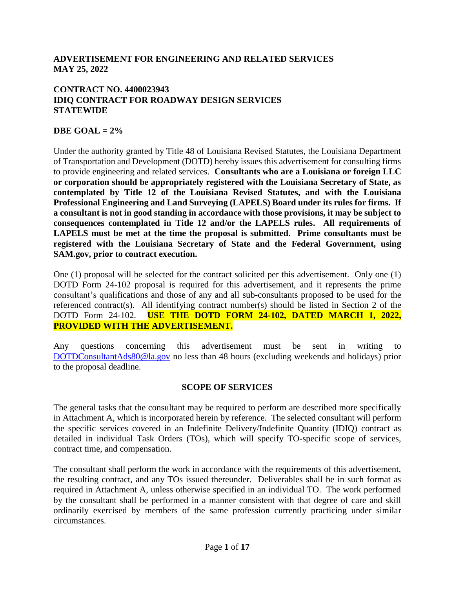#### **ADVERTISEMENT FOR ENGINEERING AND RELATED SERVICES MAY 25, 2022**

#### **CONTRACT NO. 4400023943 IDIQ CONTRACT FOR ROADWAY DESIGN SERVICES STATEWIDE**

#### **DBE GOAL = 2%**

Under the authority granted by Title 48 of Louisiana Revised Statutes, the Louisiana Department of Transportation and Development (DOTD) hereby issues this advertisement for consulting firms to provide engineering and related services. **Consultants who are a Louisiana or foreign LLC or corporation should be appropriately registered with the Louisiana Secretary of State, as contemplated by Title 12 of the Louisiana Revised Statutes, and with the Louisiana Professional Engineering and Land Surveying (LAPELS) Board under its rules for firms. If a consultant is not in good standing in accordance with those provisions, it may be subject to consequences contemplated in Title 12 and/or the LAPELS rules. All requirements of LAPELS must be met at the time the proposal is submitted**. **Prime consultants must be registered with the Louisiana Secretary of State and the Federal Government, using SAM.gov, prior to contract execution.** 

One (1) proposal will be selected for the contract solicited per this advertisement. Only one (1) DOTD Form 24-102 proposal is required for this advertisement, and it represents the prime consultant's qualifications and those of any and all sub-consultants proposed to be used for the referenced contract(s). All identifying contract number(s) should be listed in Section 2 of the DOTD Form 24-102. **USE THE DOTD FORM 24-102, DATED MARCH 1, 2022, PROVIDED WITH THE ADVERTISEMENT.**

Any questions concerning this advertisement must be sent in writing to [DOTDConsultantAds80@la.gov](mailto:DOTDConsultantAds80@la.gov) no less than 48 hours (excluding weekends and holidays) prior to the proposal deadline.

#### **SCOPE OF SERVICES**

The general tasks that the consultant may be required to perform are described more specifically in Attachment A, which is incorporated herein by reference. The selected consultant will perform the specific services covered in an Indefinite Delivery/Indefinite Quantity (IDIQ) contract as detailed in individual Task Orders (TOs), which will specify TO-specific scope of services, contract time, and compensation.

The consultant shall perform the work in accordance with the requirements of this advertisement, the resulting contract, and any TOs issued thereunder. Deliverables shall be in such format as required in Attachment A, unless otherwise specified in an individual TO. The work performed by the consultant shall be performed in a manner consistent with that degree of care and skill ordinarily exercised by members of the same profession currently practicing under similar circumstances.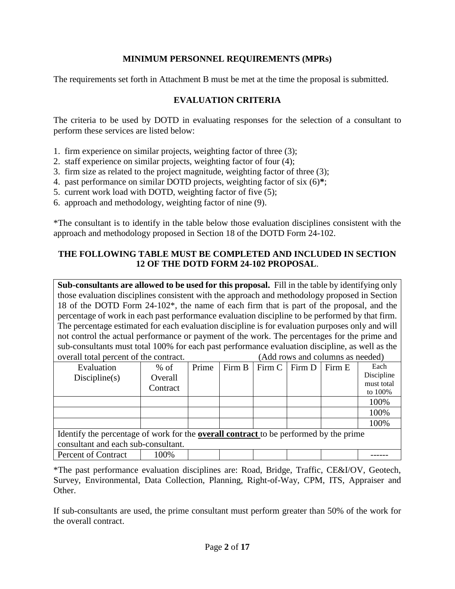### **MINIMUM PERSONNEL REQUIREMENTS (MPRs)**

The requirements set forth in Attachment B must be met at the time the proposal is submitted.

### **EVALUATION CRITERIA**

The criteria to be used by DOTD in evaluating responses for the selection of a consultant to perform these services are listed below:

- 1. firm experience on similar projects, weighting factor of three (3);
- 2. staff experience on similar projects, weighting factor of four (4);
- 3. firm size as related to the project magnitude, weighting factor of three (3);
- 4. past performance on similar DOTD projects, weighting factor of six (6)**\***;
- 5. current work load with DOTD, weighting factor of five (5);
- 6. approach and methodology, weighting factor of nine (9).

\*The consultant is to identify in the table below those evaluation disciplines consistent with the approach and methodology proposed in Section 18 of the DOTD Form 24-102.

#### **THE FOLLOWING TABLE MUST BE COMPLETED AND INCLUDED IN SECTION 12 OF THE DOTD FORM 24-102 PROPOSAL**.

**Sub-consultants are allowed to be used for this proposal.** Fill in the table by identifying only those evaluation disciplines consistent with the approach and methodology proposed in Section 18 of the DOTD Form 24-102\*, the name of each firm that is part of the proposal, and the percentage of work in each past performance evaluation discipline to be performed by that firm. The percentage estimated for each evaluation discipline is for evaluation purposes only and will not control the actual performance or payment of the work. The percentages for the prime and sub-consultants must total 100% for each past performance evaluation discipline, as well as the overall total percent of the contract. (Add rows and columns as needed)

| Evaluation                                                                                   | $%$ of   | Prime |  | Firm $B$   Firm $C$   Firm $D$ |  | Firm E | Each       |
|----------------------------------------------------------------------------------------------|----------|-------|--|--------------------------------|--|--------|------------|
| Discpline(s)                                                                                 | Overall  |       |  |                                |  |        | Discipline |
|                                                                                              | Contract |       |  |                                |  |        | must total |
|                                                                                              |          |       |  |                                |  |        | to 100%    |
|                                                                                              |          |       |  |                                |  |        | 100%       |
|                                                                                              |          |       |  |                                |  |        | 100%       |
|                                                                                              |          |       |  |                                |  |        | 100%       |
| Identify the percentage of work for the <b>overall contract</b> to be performed by the prime |          |       |  |                                |  |        |            |
| consultant and each sub-consultant.                                                          |          |       |  |                                |  |        |            |
| Percent of Contract                                                                          | 100%     |       |  |                                |  |        |            |

\*The past performance evaluation disciplines are: Road, Bridge, Traffic, CE&I/OV, Geotech, Survey, Environmental, Data Collection, Planning, Right-of-Way, CPM, ITS, Appraiser and Other.

If sub-consultants are used, the prime consultant must perform greater than 50% of the work for the overall contract.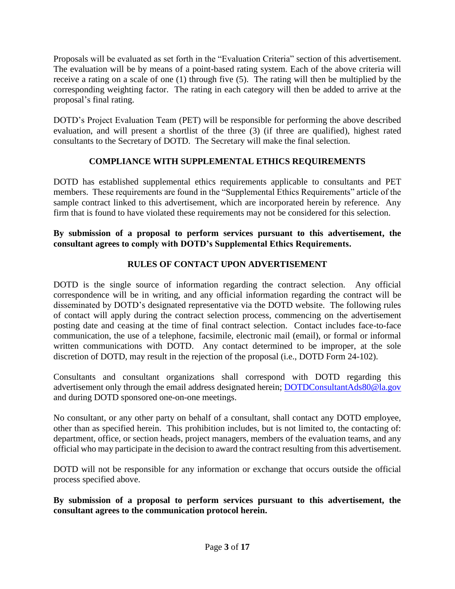Proposals will be evaluated as set forth in the "Evaluation Criteria" section of this advertisement. The evaluation will be by means of a point-based rating system. Each of the above criteria will receive a rating on a scale of one (1) through five (5). The rating will then be multiplied by the corresponding weighting factor. The rating in each category will then be added to arrive at the proposal's final rating.

DOTD's Project Evaluation Team (PET) will be responsible for performing the above described evaluation, and will present a shortlist of the three (3) (if three are qualified), highest rated consultants to the Secretary of DOTD. The Secretary will make the final selection.

# **COMPLIANCE WITH SUPPLEMENTAL ETHICS REQUIREMENTS**

DOTD has established supplemental ethics requirements applicable to consultants and PET members. These requirements are found in the "Supplemental Ethics Requirements" article of the sample contract linked to this advertisement, which are incorporated herein by reference. Any firm that is found to have violated these requirements may not be considered for this selection.

### **By submission of a proposal to perform services pursuant to this advertisement, the consultant agrees to comply with DOTD's Supplemental Ethics Requirements.**

# **RULES OF CONTACT UPON ADVERTISEMENT**

DOTD is the single source of information regarding the contract selection. Any official correspondence will be in writing, and any official information regarding the contract will be disseminated by DOTD's designated representative via the DOTD website. The following rules of contact will apply during the contract selection process, commencing on the advertisement posting date and ceasing at the time of final contract selection. Contact includes face-to-face communication, the use of a telephone, facsimile, electronic mail (email), or formal or informal written communications with DOTD. Any contact determined to be improper, at the sole discretion of DOTD, may result in the rejection of the proposal (i.e., DOTD Form 24-102).

Consultants and consultant organizations shall correspond with DOTD regarding this advertisement only through the email address designated herein; [DOTDConsultantAds80@la.gov](mailto:DOTDConsultantAds80@la.gov) and during DOTD sponsored one-on-one meetings.

No consultant, or any other party on behalf of a consultant, shall contact any DOTD employee, other than as specified herein. This prohibition includes, but is not limited to, the contacting of: department, office, or section heads, project managers, members of the evaluation teams, and any official who may participate in the decision to award the contract resulting from this advertisement.

DOTD will not be responsible for any information or exchange that occurs outside the official process specified above.

**By submission of a proposal to perform services pursuant to this advertisement, the consultant agrees to the communication protocol herein.**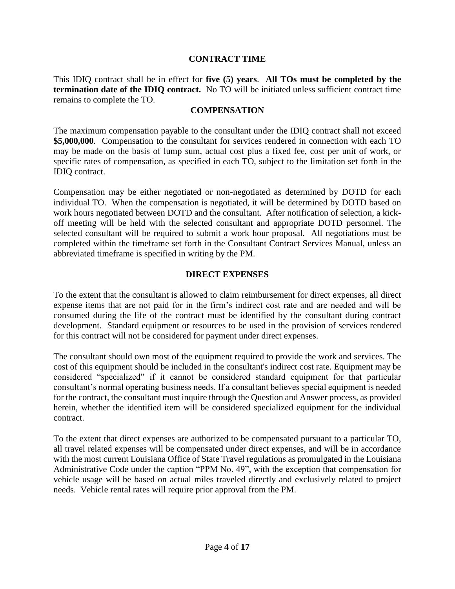#### **CONTRACT TIME**

This IDIQ contract shall be in effect for **five (5) years**. **All TOs must be completed by the termination date of the IDIQ contract.** No TO will be initiated unless sufficient contract time remains to complete the TO.

#### **COMPENSATION**

The maximum compensation payable to the consultant under the IDIQ contract shall not exceed **\$5,000,000**. Compensation to the consultant for services rendered in connection with each TO may be made on the basis of lump sum, actual cost plus a fixed fee, cost per unit of work, or specific rates of compensation, as specified in each TO, subject to the limitation set forth in the IDIQ contract.

Compensation may be either negotiated or non-negotiated as determined by DOTD for each individual TO. When the compensation is negotiated, it will be determined by DOTD based on work hours negotiated between DOTD and the consultant. After notification of selection, a kickoff meeting will be held with the selected consultant and appropriate DOTD personnel. The selected consultant will be required to submit a work hour proposal. All negotiations must be completed within the timeframe set forth in the Consultant Contract Services Manual, unless an abbreviated timeframe is specified in writing by the PM.

#### **DIRECT EXPENSES**

To the extent that the consultant is allowed to claim reimbursement for direct expenses, all direct expense items that are not paid for in the firm's indirect cost rate and are needed and will be consumed during the life of the contract must be identified by the consultant during contract development. Standard equipment or resources to be used in the provision of services rendered for this contract will not be considered for payment under direct expenses.

The consultant should own most of the equipment required to provide the work and services. The cost of this equipment should be included in the consultant's indirect cost rate. Equipment may be considered "specialized" if it cannot be considered standard equipment for that particular consultant's normal operating business needs. If a consultant believes special equipment is needed for the contract, the consultant must inquire through the Question and Answer process, as provided herein, whether the identified item will be considered specialized equipment for the individual contract.

To the extent that direct expenses are authorized to be compensated pursuant to a particular TO, all travel related expenses will be compensated under direct expenses, and will be in accordance with the most current Louisiana Office of State Travel regulations as promulgated in the Louisiana Administrative Code under the caption "PPM No. 49", with the exception that compensation for vehicle usage will be based on actual miles traveled directly and exclusively related to project needs. Vehicle rental rates will require prior approval from the PM.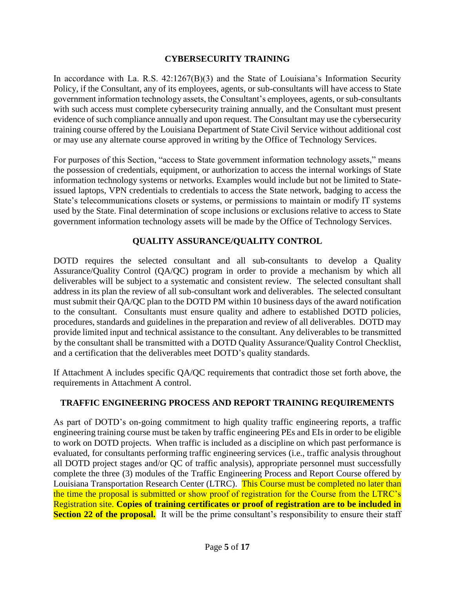### **CYBERSECURITY TRAINING**

In accordance with La. R.S. 42:1267(B)(3) and the State of Louisiana's Information Security Policy, if the Consultant, any of its employees, agents, or sub-consultants will have access to State government information technology assets, the Consultant's employees, agents, or sub-consultants with such access must complete cybersecurity training annually, and the Consultant must present evidence of such compliance annually and upon request. The Consultant may use the cybersecurity training course offered by the Louisiana Department of State Civil Service without additional cost or may use any alternate course approved in writing by the Office of Technology Services.

For purposes of this Section, "access to State government information technology assets," means the possession of credentials, equipment, or authorization to access the internal workings of State information technology systems or networks. Examples would include but not be limited to Stateissued laptops, VPN credentials to credentials to access the State network, badging to access the State's telecommunications closets or systems, or permissions to maintain or modify IT systems used by the State. Final determination of scope inclusions or exclusions relative to access to State government information technology assets will be made by the Office of Technology Services.

# **QUALITY ASSURANCE/QUALITY CONTROL**

DOTD requires the selected consultant and all sub-consultants to develop a Quality Assurance/Quality Control (QA/QC) program in order to provide a mechanism by which all deliverables will be subject to a systematic and consistent review. The selected consultant shall address in its plan the review of all sub-consultant work and deliverables. The selected consultant must submit their QA/QC plan to the DOTD PM within 10 business days of the award notification to the consultant. Consultants must ensure quality and adhere to established DOTD policies, procedures, standards and guidelines in the preparation and review of all deliverables. DOTD may provide limited input and technical assistance to the consultant. Any deliverables to be transmitted by the consultant shall be transmitted with a DOTD Quality Assurance/Quality Control Checklist, and a certification that the deliverables meet DOTD's quality standards.

If Attachment A includes specific QA/QC requirements that contradict those set forth above, the requirements in Attachment A control.

### **TRAFFIC ENGINEERING PROCESS AND REPORT TRAINING REQUIREMENTS**

As part of DOTD's on-going commitment to high quality traffic engineering reports, a traffic engineering training course must be taken by traffic engineering PEs and EIs in order to be eligible to work on DOTD projects. When traffic is included as a discipline on which past performance is evaluated, for consultants performing traffic engineering services (i.e., traffic analysis throughout all DOTD project stages and/or QC of traffic analysis), appropriate personnel must successfully complete the three (3) modules of the Traffic Engineering Process and Report Course offered by Louisiana Transportation Research Center (LTRC). This Course must be completed no later than the time the proposal is submitted or show proof of registration for the Course from the LTRC's Registration site. **Copies of training certificates or proof of registration are to be included in Section 22 of the proposal.** It will be the prime consultant's responsibility to ensure their staff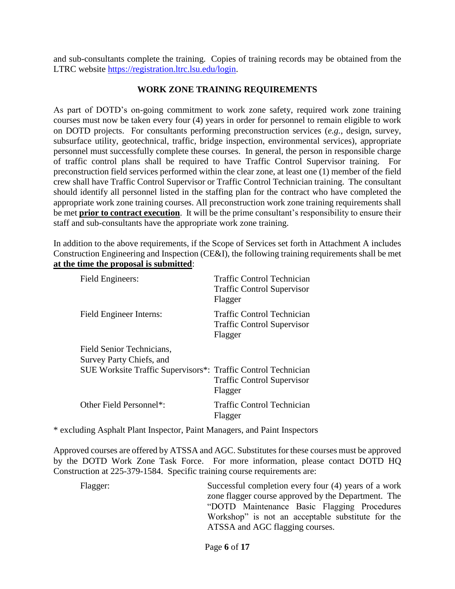and sub-consultants complete the training. Copies of training records may be obtained from the LTRC website [https://registration.ltrc.lsu.edu/login.](https://registration.ltrc.lsu.edu/login)

#### **WORK ZONE TRAINING REQUIREMENTS**

As part of DOTD's on-going commitment to work zone safety, required work zone training courses must now be taken every four (4) years in order for personnel to remain eligible to work on DOTD projects. For consultants performing preconstruction services (*e.g.*, design, survey, subsurface utility, geotechnical, traffic, bridge inspection, environmental services), appropriate personnel must successfully complete these courses. In general, the person in responsible charge of traffic control plans shall be required to have Traffic Control Supervisor training. For preconstruction field services performed within the clear zone, at least one (1) member of the field crew shall have Traffic Control Supervisor or Traffic Control Technician training. The consultant should identify all personnel listed in the staffing plan for the contract who have completed the appropriate work zone training courses. All preconstruction work zone training requirements shall be met **prior to contract execution**. It will be the prime consultant's responsibility to ensure their staff and sub-consultants have the appropriate work zone training.

In addition to the above requirements, if the Scope of Services set forth in Attachment A includes Construction Engineering and Inspection (CE&I), the following training requirements shall be met **at the time the proposal is submitted**:

| Field Engineers:                                              | Traffic Control Technician<br><b>Traffic Control Supervisor</b><br>Flagger |
|---------------------------------------------------------------|----------------------------------------------------------------------------|
| Field Engineer Interns:                                       | Traffic Control Technician<br><b>Traffic Control Supervisor</b><br>Flagger |
| Field Senior Technicians,<br>Survey Party Chiefs, and         |                                                                            |
| SUE Worksite Traffic Supervisors*: Traffic Control Technician | <b>Traffic Control Supervisor</b><br>Flagger                               |
| Other Field Personnel*:                                       | Traffic Control Technician<br>Flagger                                      |

\* excluding Asphalt Plant Inspector, Paint Managers, and Paint Inspectors

Approved courses are offered by ATSSA and AGC. Substitutes for these courses must be approved by the DOTD Work Zone Task Force. For more information, please contact DOTD HQ Construction at 225-379-1584. Specific training course requirements are:

Flagger: Successful completion every four (4) years of a work zone flagger course approved by the Department. The "DOTD Maintenance Basic Flagging Procedures Workshop" is not an acceptable substitute for the ATSSA and AGC flagging courses.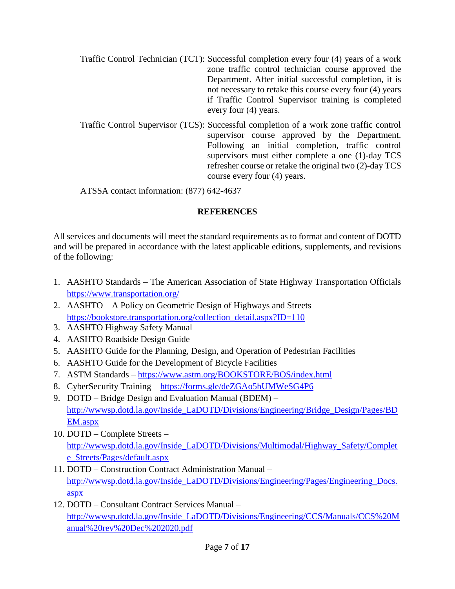- Traffic Control Technician (TCT): Successful completion every four (4) years of a work zone traffic control technician course approved the Department. After initial successful completion, it is not necessary to retake this course every four (4) years if Traffic Control Supervisor training is completed every four (4) years.
- Traffic Control Supervisor (TCS): Successful completion of a work zone traffic control supervisor course approved by the Department. Following an initial completion, traffic control supervisors must either complete a one (1)-day TCS refresher course or retake the original two (2)-day TCS course every four (4) years.

ATSSA contact information: (877) 642-4637

# **REFERENCES**

All services and documents will meet the standard requirements as to format and content of DOTD and will be prepared in accordance with the latest applicable editions, supplements, and revisions of the following:

- 1. AASHTO Standards The American Association of State Highway Transportation Officials <https://www.transportation.org/>
- 2. AASHTO A Policy on Geometric Design of Highways and Streets [https://bookstore.transportation.org/collection\\_detail.aspx?ID=110](https://bookstore.transportation.org/collection_detail.aspx?ID=110)
- 3. AASHTO Highway Safety Manual
- 4. AASHTO Roadside Design Guide
- 5. AASHTO Guide for the Planning, Design, and Operation of Pedestrian Facilities
- 6. AASHTO Guide for the Development of Bicycle Facilities
- 7. ASTM Standards <https://www.astm.org/BOOKSTORE/BOS/index.html>
- 8. CyberSecurity Training <https://forms.gle/deZGAo5hUMWeSG4P6>
- 9. DOTD Bridge Design and Evaluation Manual (BDEM) [http://wwwsp.dotd.la.gov/Inside\\_LaDOTD/Divisions/Engineering/Bridge\\_Design/Pages/BD](http://wwwsp.dotd.la.gov/Inside_LaDOTD/Divisions/Engineering/Bridge_Design/Pages/BDEM.aspx) [EM.aspx](http://wwwsp.dotd.la.gov/Inside_LaDOTD/Divisions/Engineering/Bridge_Design/Pages/BDEM.aspx)
- 10. DOTD Complete Streets [http://wwwsp.dotd.la.gov/Inside\\_LaDOTD/Divisions/Multimodal/Highway\\_Safety/Complet](http://wwwsp.dotd.la.gov/Inside_LaDOTD/Divisions/Multimodal/Highway_Safety/Complete_Streets/Pages/default.aspx) [e\\_Streets/Pages/default.aspx](http://wwwsp.dotd.la.gov/Inside_LaDOTD/Divisions/Multimodal/Highway_Safety/Complete_Streets/Pages/default.aspx)
- 11. DOTD Construction Contract Administration Manual [http://wwwsp.dotd.la.gov/Inside\\_LaDOTD/Divisions/Engineering/Pages/Engineering\\_Docs.](http://wwwsp.dotd.la.gov/Inside_LaDOTD/Divisions/Engineering/Pages/Engineering_Docs.aspx) [aspx](http://wwwsp.dotd.la.gov/Inside_LaDOTD/Divisions/Engineering/Pages/Engineering_Docs.aspx)
- 12. DOTD Consultant Contract Services Manual [http://wwwsp.dotd.la.gov/Inside\\_LaDOTD/Divisions/Engineering/CCS/Manuals/CCS%20M](http://wwwsp.dotd.la.gov/Inside_LaDOTD/Divisions/Engineering/CCS/Manuals/CCS%20Manual%20rev%20Dec%202020.pdf) [anual%20rev%20Dec%202020.pdf](http://wwwsp.dotd.la.gov/Inside_LaDOTD/Divisions/Engineering/CCS/Manuals/CCS%20Manual%20rev%20Dec%202020.pdf)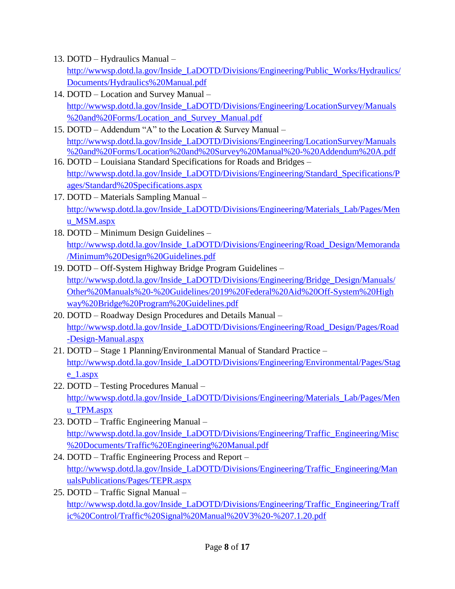13. DOTD – Hydraulics Manual –

[http://wwwsp.dotd.la.gov/Inside\\_LaDOTD/Divisions/Engineering/Public\\_Works/Hydraulics/](http://wwwsp.dotd.la.gov/Inside_LaDOTD/Divisions/Engineering/Public_Works/Hydraulics/Documents/Hydraulics%20Manual.pdf) [Documents/Hydraulics%20Manual.pdf](http://wwwsp.dotd.la.gov/Inside_LaDOTD/Divisions/Engineering/Public_Works/Hydraulics/Documents/Hydraulics%20Manual.pdf)

- 14. DOTD Location and Survey Manual [http://wwwsp.dotd.la.gov/Inside\\_LaDOTD/Divisions/Engineering/LocationSurvey/Manuals](http://wwwsp.dotd.la.gov/Inside_LaDOTD/Divisions/Engineering/LocationSurvey/Manuals%20and%20Forms/Location_and_Survey_Manual.pdf) [%20and%20Forms/Location\\_and\\_Survey\\_Manual.pdf](http://wwwsp.dotd.la.gov/Inside_LaDOTD/Divisions/Engineering/LocationSurvey/Manuals%20and%20Forms/Location_and_Survey_Manual.pdf)
- 15. DOTD Addendum "A" to the Location & Survey Manual [http://wwwsp.dotd.la.gov/Inside\\_LaDOTD/Divisions/Engineering/LocationSurvey/Manuals](http://wwwsp.dotd.la.gov/Inside_LaDOTD/Divisions/Engineering/LocationSurvey/Manuals%20and%20Forms/Location%20and%20Survey%20Manual%20-%20Addendum%20A.pdf) [%20and%20Forms/Location%20and%20Survey%20Manual%20-%20Addendum%20A.pdf](http://wwwsp.dotd.la.gov/Inside_LaDOTD/Divisions/Engineering/LocationSurvey/Manuals%20and%20Forms/Location%20and%20Survey%20Manual%20-%20Addendum%20A.pdf)
- 16. DOTD Louisiana Standard Specifications for Roads and Bridges [http://wwwsp.dotd.la.gov/Inside\\_LaDOTD/Divisions/Engineering/Standard\\_Specifications/P](http://wwwsp.dotd.la.gov/Inside_LaDOTD/Divisions/Engineering/Standard_Specifications/Pages/Standard%20Specifications.aspx) [ages/Standard%20Specifications.aspx](http://wwwsp.dotd.la.gov/Inside_LaDOTD/Divisions/Engineering/Standard_Specifications/Pages/Standard%20Specifications.aspx)
- 17. DOTD Materials Sampling Manual [http://wwwsp.dotd.la.gov/Inside\\_LaDOTD/Divisions/Engineering/Materials\\_Lab/Pages/Men](http://wwwsp.dotd.la.gov/Inside_LaDOTD/Divisions/Engineering/Materials_Lab/Pages/Menu_MSM.aspx) [u\\_MSM.aspx](http://wwwsp.dotd.la.gov/Inside_LaDOTD/Divisions/Engineering/Materials_Lab/Pages/Menu_MSM.aspx)
- 18. DOTD Minimum Design Guidelines [http://wwwsp.dotd.la.gov/Inside\\_LaDOTD/Divisions/Engineering/Road\\_Design/Memoranda](http://wwwsp.dotd.la.gov/Inside_LaDOTD/Divisions/Engineering/Road_Design/Memoranda/Minimum%20Design%20Guidelines.pdf) [/Minimum%20Design%20Guidelines.pdf](http://wwwsp.dotd.la.gov/Inside_LaDOTD/Divisions/Engineering/Road_Design/Memoranda/Minimum%20Design%20Guidelines.pdf)
- 19. DOTD Off-System Highway Bridge Program Guidelines [http://wwwsp.dotd.la.gov/Inside\\_LaDOTD/Divisions/Engineering/Bridge\\_Design/Manuals/](http://wwwsp.dotd.la.gov/Inside_LaDOTD/Divisions/Engineering/Bridge_Design/Manuals/Other%20Manuals%20-%20Guidelines/2019%20Federal%20Aid%20Off-System%20Highway%20Bridge%20Program%20Guidelines.pdf) [Other%20Manuals%20-%20Guidelines/2019%20Federal%20Aid%20Off-System%20High](http://wwwsp.dotd.la.gov/Inside_LaDOTD/Divisions/Engineering/Bridge_Design/Manuals/Other%20Manuals%20-%20Guidelines/2019%20Federal%20Aid%20Off-System%20Highway%20Bridge%20Program%20Guidelines.pdf) [way%20Bridge%20Program%20Guidelines.pdf](http://wwwsp.dotd.la.gov/Inside_LaDOTD/Divisions/Engineering/Bridge_Design/Manuals/Other%20Manuals%20-%20Guidelines/2019%20Federal%20Aid%20Off-System%20Highway%20Bridge%20Program%20Guidelines.pdf)
- 20. DOTD Roadway Design Procedures and Details Manual [http://wwwsp.dotd.la.gov/Inside\\_LaDOTD/Divisions/Engineering/Road\\_Design/Pages/Road](http://wwwsp.dotd.la.gov/Inside_LaDOTD/Divisions/Engineering/Road_Design/Pages/Road-Design-Manual.aspx) [-Design-Manual.aspx](http://wwwsp.dotd.la.gov/Inside_LaDOTD/Divisions/Engineering/Road_Design/Pages/Road-Design-Manual.aspx)
- 21. DOTD Stage 1 Planning/Environmental Manual of Standard Practice [http://wwwsp.dotd.la.gov/Inside\\_LaDOTD/Divisions/Engineering/Environmental/Pages/Stag](http://wwwsp.dotd.la.gov/Inside_LaDOTD/Divisions/Engineering/Environmental/Pages/Stage_1.aspx) [e\\_1.aspx](http://wwwsp.dotd.la.gov/Inside_LaDOTD/Divisions/Engineering/Environmental/Pages/Stage_1.aspx)
- 22. DOTD Testing Procedures Manual [http://wwwsp.dotd.la.gov/Inside\\_LaDOTD/Divisions/Engineering/Materials\\_Lab/Pages/Men](http://wwwsp.dotd.la.gov/Inside_LaDOTD/Divisions/Engineering/Materials_Lab/Pages/Menu_TPM.aspx) [u\\_TPM.aspx](http://wwwsp.dotd.la.gov/Inside_LaDOTD/Divisions/Engineering/Materials_Lab/Pages/Menu_TPM.aspx)
- 23. DOTD Traffic Engineering Manual [http://wwwsp.dotd.la.gov/Inside\\_LaDOTD/Divisions/Engineering/Traffic\\_Engineering/Misc](http://wwwsp.dotd.la.gov/Inside_LaDOTD/Divisions/Engineering/Traffic_Engineering/Misc%20Documents/Traffic%20Engineering%20Manual.pdf) [%20Documents/Traffic%20Engineering%20Manual.pdf](http://wwwsp.dotd.la.gov/Inside_LaDOTD/Divisions/Engineering/Traffic_Engineering/Misc%20Documents/Traffic%20Engineering%20Manual.pdf)
- 24. DOTD Traffic Engineering Process and Report [http://wwwsp.dotd.la.gov/Inside\\_LaDOTD/Divisions/Engineering/Traffic\\_Engineering/Man](http://wwwsp.dotd.la.gov/Inside_LaDOTD/Divisions/Engineering/Traffic_Engineering/ManualsPublications/Pages/TEPR.aspx) [ualsPublications/Pages/TEPR.aspx](http://wwwsp.dotd.la.gov/Inside_LaDOTD/Divisions/Engineering/Traffic_Engineering/ManualsPublications/Pages/TEPR.aspx)
- 25. DOTD Traffic Signal Manual [http://wwwsp.dotd.la.gov/Inside\\_LaDOTD/Divisions/Engineering/Traffic\\_Engineering/Traff](http://wwwsp.dotd.la.gov/Inside_LaDOTD/Divisions/Engineering/Traffic_Engineering/Traffic%20Control/Traffic%20Signal%20Manual%20V3%20-%207.1.20.pdf) [ic%20Control/Traffic%20Signal%20Manual%20V3%20-%207.1.20.pdf](http://wwwsp.dotd.la.gov/Inside_LaDOTD/Divisions/Engineering/Traffic_Engineering/Traffic%20Control/Traffic%20Signal%20Manual%20V3%20-%207.1.20.pdf)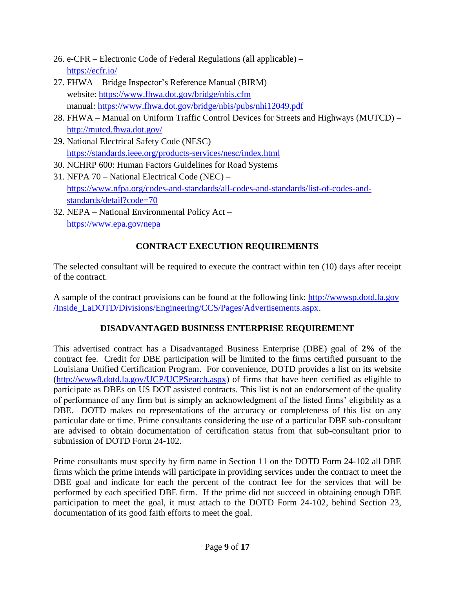- 26. e-CFR Electronic Code of Federal Regulations (all applicable) <https://ecfr.io/>
- 27. FHWA Bridge Inspector's Reference Manual (BIRM) website:<https://www.fhwa.dot.gov/bridge/nbis.cfm> manual:<https://www.fhwa.dot.gov/bridge/nbis/pubs/nhi12049.pdf>
- 28. FHWA Manual on Uniform Traffic Control Devices for Streets and Highways (MUTCD) <http://mutcd.fhwa.dot.gov/>
- 29. National Electrical Safety Code (NESC) <https://standards.ieee.org/products-services/nesc/index.html>
- 30. NCHRP 600: Human Factors Guidelines for Road Systems
- 31. NFPA 70 National Electrical Code (NEC) [https://www.nfpa.org/codes-and-standards/all-codes-and-standards/list-of-codes-and](https://www.nfpa.org/codes-and-standards/all-codes-and-standards/list-of-codes-and-standards/detail?code=70)[standards/detail?code=70](https://www.nfpa.org/codes-and-standards/all-codes-and-standards/list-of-codes-and-standards/detail?code=70)
- 32. NEPA National Environmental Policy Act <https://www.epa.gov/nepa>

# **CONTRACT EXECUTION REQUIREMENTS**

The selected consultant will be required to execute the contract within ten (10) days after receipt of the contract.

A sample of the contract provisions can be found at the following link: [http://wwwsp.dotd.la.gov](http://wwwsp.dotd.la.gov/Inside_LaDOTD/Divisions/Engineering/CCS/Pages/Advertisements.aspx) [/Inside\\_LaDOTD/Divisions/Engineering/CCS/Pages/Advertisements.aspx.](http://wwwsp.dotd.la.gov/Inside_LaDOTD/Divisions/Engineering/CCS/Pages/Advertisements.aspx)

# **DISADVANTAGED BUSINESS ENTERPRISE REQUIREMENT**

This advertised contract has a Disadvantaged Business Enterprise (DBE) goal of **2%** of the contract fee. Credit for DBE participation will be limited to the firms certified pursuant to the Louisiana Unified Certification Program. For convenience, DOTD provides a list on its website [\(http://www8.dotd.la.gov/UCP/UCPSearch.aspx\)](http://www8.dotd.la.gov/UCP/UCPSearch.aspx) of firms that have been certified as eligible to participate as DBEs on US DOT assisted contracts. This list is not an endorsement of the quality of performance of any firm but is simply an acknowledgment of the listed firms' eligibility as a DBE. DOTD makes no representations of the accuracy or completeness of this list on any particular date or time. Prime consultants considering the use of a particular DBE sub-consultant are advised to obtain documentation of certification status from that sub-consultant prior to submission of DOTD Form 24-102.

Prime consultants must specify by firm name in Section 11 on the DOTD Form 24-102 all DBE firms which the prime intends will participate in providing services under the contract to meet the DBE goal and indicate for each the percent of the contract fee for the services that will be performed by each specified DBE firm. If the prime did not succeed in obtaining enough DBE participation to meet the goal, it must attach to the DOTD Form 24-102, behind Section 23, documentation of its good faith efforts to meet the goal.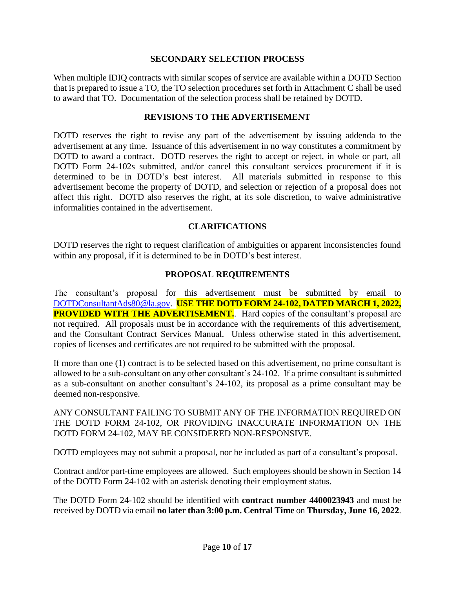#### **SECONDARY SELECTION PROCESS**

When multiple IDIQ contracts with similar scopes of service are available within a DOTD Section that is prepared to issue a TO, the TO selection procedures set forth in Attachment C shall be used to award that TO. Documentation of the selection process shall be retained by DOTD.

### **REVISIONS TO THE ADVERTISEMENT**

DOTD reserves the right to revise any part of the advertisement by issuing addenda to the advertisement at any time. Issuance of this advertisement in no way constitutes a commitment by DOTD to award a contract. DOTD reserves the right to accept or reject, in whole or part, all DOTD Form 24-102s submitted, and/or cancel this consultant services procurement if it is determined to be in DOTD's best interest. All materials submitted in response to this advertisement become the property of DOTD, and selection or rejection of a proposal does not affect this right. DOTD also reserves the right, at its sole discretion, to waive administrative informalities contained in the advertisement.

#### **CLARIFICATIONS**

DOTD reserves the right to request clarification of ambiguities or apparent inconsistencies found within any proposal, if it is determined to be in DOTD's best interest.

#### **PROPOSAL REQUIREMENTS**

The consultant's proposal for this advertisement must be submitted by email to [DOTDConsultantAds80@la.gov.](mailto:DOTDConsultantAds80@la.gov) **USE THE DOTD FORM 24-102, DATED MARCH 1, 2022, PROVIDED WITH THE ADVERTISEMENT.** Hard copies of the consultant's proposal are not required. All proposals must be in accordance with the requirements of this advertisement, and the Consultant Contract Services Manual. Unless otherwise stated in this advertisement, copies of licenses and certificates are not required to be submitted with the proposal.

If more than one (1) contract is to be selected based on this advertisement, no prime consultant is allowed to be a sub-consultant on any other consultant's 24-102. If a prime consultant is submitted as a sub-consultant on another consultant's 24-102, its proposal as a prime consultant may be deemed non-responsive.

#### ANY CONSULTANT FAILING TO SUBMIT ANY OF THE INFORMATION REQUIRED ON THE DOTD FORM 24-102, OR PROVIDING INACCURATE INFORMATION ON THE DOTD FORM 24-102, MAY BE CONSIDERED NON-RESPONSIVE.

DOTD employees may not submit a proposal, nor be included as part of a consultant's proposal.

Contract and/or part-time employees are allowed. Such employees should be shown in Section 14 of the DOTD Form 24-102 with an asterisk denoting their employment status.

The DOTD Form 24-102 should be identified with **contract number 4400023943** and must be received by DOTD via email **no later than 3:00 p.m. Central Time** on **Thursday, June 16, 2022**.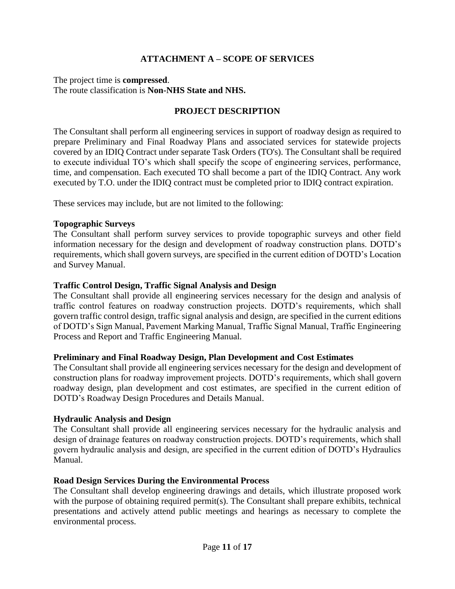### **ATTACHMENT A – SCOPE OF SERVICES**

#### The project time is **compressed**. The route classification is **Non-NHS State and NHS.**

#### **PROJECT DESCRIPTION**

The Consultant shall perform all engineering services in support of roadway design as required to prepare Preliminary and Final Roadway Plans and associated services for statewide projects covered by an IDIQ Contract under separate Task Orders (TO's). The Consultant shall be required to execute individual TO's which shall specify the scope of engineering services, performance, time, and compensation. Each executed TO shall become a part of the IDIQ Contract. Any work executed by T.O. under the IDIQ contract must be completed prior to IDIQ contract expiration.

These services may include, but are not limited to the following:

#### **Topographic Surveys**

The Consultant shall perform survey services to provide topographic surveys and other field information necessary for the design and development of roadway construction plans. DOTD's requirements, which shall govern surveys, are specified in the current edition of DOTD's Location and Survey Manual.

#### **Traffic Control Design, Traffic Signal Analysis and Design**

The Consultant shall provide all engineering services necessary for the design and analysis of traffic control features on roadway construction projects. DOTD's requirements, which shall govern traffic control design, traffic signal analysis and design, are specified in the current editions of DOTD's Sign Manual, Pavement Marking Manual, Traffic Signal Manual, Traffic Engineering Process and Report and Traffic Engineering Manual.

#### **Preliminary and Final Roadway Design, Plan Development and Cost Estimates**

The Consultant shall provide all engineering services necessary for the design and development of construction plans for roadway improvement projects. DOTD's requirements, which shall govern roadway design, plan development and cost estimates, are specified in the current edition of DOTD's Roadway Design Procedures and Details Manual.

#### **Hydraulic Analysis and Design**

The Consultant shall provide all engineering services necessary for the hydraulic analysis and design of drainage features on roadway construction projects. DOTD's requirements, which shall govern hydraulic analysis and design, are specified in the current edition of DOTD's Hydraulics Manual.

#### **Road Design Services During the Environmental Process**

The Consultant shall develop engineering drawings and details, which illustrate proposed work with the purpose of obtaining required permit(s). The Consultant shall prepare exhibits, technical presentations and actively attend public meetings and hearings as necessary to complete the environmental process.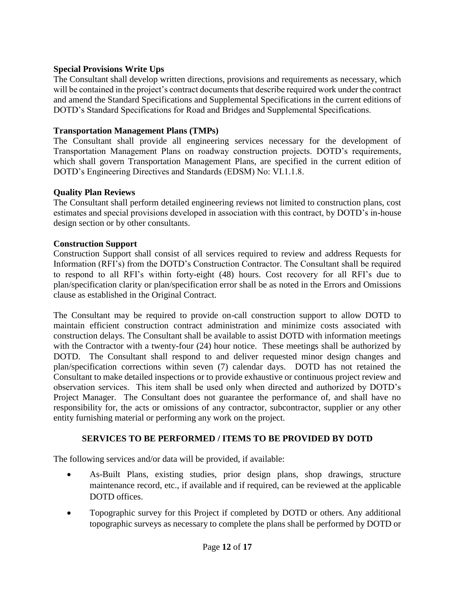### **Special Provisions Write Ups**

The Consultant shall develop written directions, provisions and requirements as necessary, which will be contained in the project's contract documents that describe required work under the contract and amend the Standard Specifications and Supplemental Specifications in the current editions of DOTD's Standard Specifications for Road and Bridges and Supplemental Specifications.

### **Transportation Management Plans (TMPs)**

The Consultant shall provide all engineering services necessary for the development of Transportation Management Plans on roadway construction projects. DOTD's requirements, which shall govern Transportation Management Plans, are specified in the current edition of DOTD's Engineering Directives and Standards (EDSM) No: VI.1.1.8.

### **Quality Plan Reviews**

The Consultant shall perform detailed engineering reviews not limited to construction plans, cost estimates and special provisions developed in association with this contract, by DOTD's in-house design section or by other consultants.

### **Construction Support**

Construction Support shall consist of all services required to review and address Requests for Information (RFI's) from the DOTD's Construction Contractor. The Consultant shall be required to respond to all RFI's within forty-eight (48) hours. Cost recovery for all RFI's due to plan/specification clarity or plan/specification error shall be as noted in the Errors and Omissions clause as established in the Original Contract.

The Consultant may be required to provide on-call construction support to allow DOTD to maintain efficient construction contract administration and minimize costs associated with construction delays. The Consultant shall be available to assist DOTD with information meetings with the Contractor with a twenty-four (24) hour notice. These meetings shall be authorized by DOTD. The Consultant shall respond to and deliver requested minor design changes and plan/specification corrections within seven (7) calendar days. DOTD has not retained the Consultant to make detailed inspections or to provide exhaustive or continuous project review and observation services. This item shall be used only when directed and authorized by DOTD's Project Manager. The Consultant does not guarantee the performance of, and shall have no responsibility for, the acts or omissions of any contractor, subcontractor, supplier or any other entity furnishing material or performing any work on the project.

### **SERVICES TO BE PERFORMED / ITEMS TO BE PROVIDED BY DOTD**

The following services and/or data will be provided, if available:

- As-Built Plans, existing studies, prior design plans, shop drawings, structure maintenance record, etc., if available and if required, can be reviewed at the applicable DOTD offices.
- Topographic survey for this Project if completed by DOTD or others. Any additional topographic surveys as necessary to complete the plans shall be performed by DOTD or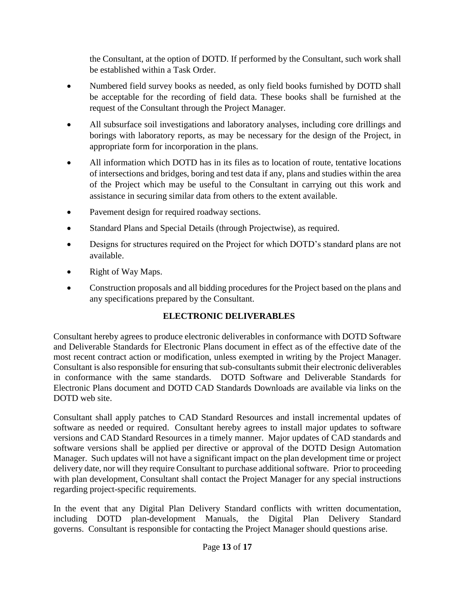the Consultant, at the option of DOTD. If performed by the Consultant, such work shall be established within a Task Order.

- Numbered field survey books as needed, as only field books furnished by DOTD shall be acceptable for the recording of field data. These books shall be furnished at the request of the Consultant through the Project Manager.
- All subsurface soil investigations and laboratory analyses, including core drillings and borings with laboratory reports, as may be necessary for the design of the Project, in appropriate form for incorporation in the plans.
- All information which DOTD has in its files as to location of route, tentative locations of intersections and bridges, boring and test data if any, plans and studies within the area of the Project which may be useful to the Consultant in carrying out this work and assistance in securing similar data from others to the extent available.
- Pavement design for required roadway sections.
- Standard Plans and Special Details (through Projectwise), as required.
- Designs for structures required on the Project for which DOTD's standard plans are not available.
- Right of Way Maps.
- Construction proposals and all bidding procedures for the Project based on the plans and any specifications prepared by the Consultant.

### **ELECTRONIC DELIVERABLES**

Consultant hereby agrees to produce electronic deliverables in conformance with DOTD Software and Deliverable Standards for Electronic Plans document in effect as of the effective date of the most recent contract action or modification, unless exempted in writing by the Project Manager. Consultant is also responsible for ensuring that sub-consultants submit their electronic deliverables in conformance with the same standards. DOTD Software and Deliverable Standards for Electronic Plans document and DOTD CAD Standards Downloads are available via links on the DOTD web site.

Consultant shall apply patches to CAD Standard Resources and install incremental updates of software as needed or required. Consultant hereby agrees to install major updates to software versions and CAD Standard Resources in a timely manner. Major updates of CAD standards and software versions shall be applied per directive or approval of the DOTD Design Automation Manager. Such updates will not have a significant impact on the plan development time or project delivery date, nor will they require Consultant to purchase additional software. Prior to proceeding with plan development, Consultant shall contact the Project Manager for any special instructions regarding project-specific requirements.

In the event that any Digital Plan Delivery Standard conflicts with written documentation, including DOTD plan-development Manuals, the Digital Plan Delivery Standard governs. Consultant is responsible for contacting the Project Manager should questions arise.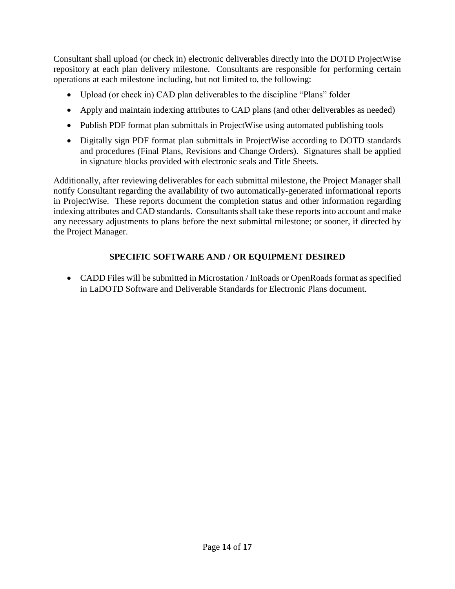Consultant shall upload (or check in) electronic deliverables directly into the DOTD ProjectWise repository at each plan delivery milestone. Consultants are responsible for performing certain operations at each milestone including, but not limited to, the following:

- Upload (or check in) CAD plan deliverables to the discipline "Plans" folder
- Apply and maintain indexing attributes to CAD plans (and other deliverables as needed)
- Publish PDF format plan submittals in ProjectWise using automated publishing tools
- Digitally sign PDF format plan submittals in ProjectWise according to DOTD standards and procedures (Final Plans, Revisions and Change Orders). Signatures shall be applied in signature blocks provided with electronic seals and Title Sheets.

Additionally, after reviewing deliverables for each submittal milestone, the Project Manager shall notify Consultant regarding the availability of two automatically-generated informational reports in ProjectWise. These reports document the completion status and other information regarding indexing attributes and CAD standards. Consultants shall take these reports into account and make any necessary adjustments to plans before the next submittal milestone; or sooner, if directed by the Project Manager.

# **SPECIFIC SOFTWARE AND / OR EQUIPMENT DESIRED**

 CADD Files will be submitted in Microstation / InRoads or OpenRoads format as specified in LaDOTD Software and Deliverable Standards for Electronic Plans document.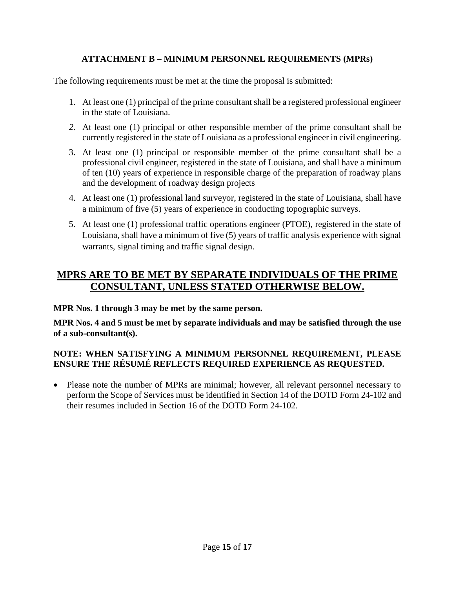# **ATTACHMENT B – MINIMUM PERSONNEL REQUIREMENTS (MPRs)**

The following requirements must be met at the time the proposal is submitted:

- 1. At least one (1) principal of the prime consultant shall be a registered professional engineer in the state of Louisiana.
- *2.* At least one (1) principal or other responsible member of the prime consultant shall be currently registered in the state of Louisiana as a professional engineer in civil engineering.
- 3. At least one (1) principal or responsible member of the prime consultant shall be a professional civil engineer, registered in the state of Louisiana, and shall have a minimum of ten (10) years of experience in responsible charge of the preparation of roadway plans and the development of roadway design projects
- 4. At least one (1) professional land surveyor, registered in the state of Louisiana, shall have a minimum of five (5) years of experience in conducting topographic surveys.
- 5. At least one (1) professional traffic operations engineer (PTOE), registered in the state of Louisiana, shall have a minimum of five (5) years of traffic analysis experience with signal warrants, signal timing and traffic signal design.

# **MPRS ARE TO BE MET BY SEPARATE INDIVIDUALS OF THE PRIME CONSULTANT, UNLESS STATED OTHERWISE BELOW.**

**MPR Nos. 1 through 3 may be met by the same person.**

**MPR Nos. 4 and 5 must be met by separate individuals and may be satisfied through the use of a sub-consultant(s).**

# **NOTE: WHEN SATISFYING A MINIMUM PERSONNEL REQUIREMENT, PLEASE ENSURE THE RÉSUMÉ REFLECTS REQUIRED EXPERIENCE AS REQUESTED.**

• Please note the number of MPRs are minimal; however, all relevant personnel necessary to perform the Scope of Services must be identified in Section 14 of the DOTD Form 24-102 and their resumes included in Section 16 of the DOTD Form 24-102.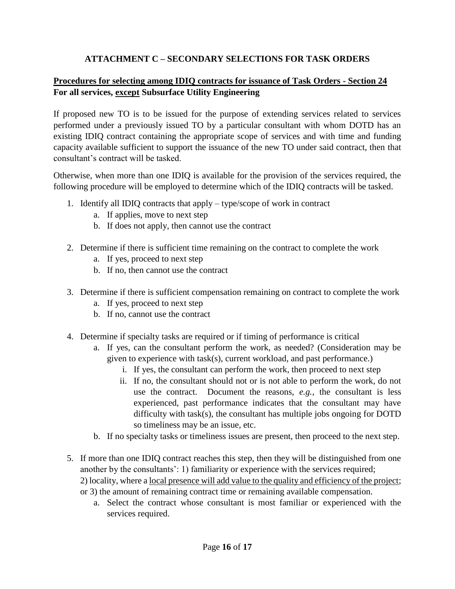# **ATTACHMENT C – SECONDARY SELECTIONS FOR TASK ORDERS**

### **Procedures for selecting among IDIQ contracts for issuance of Task Orders - Section 24 For all services, except Subsurface Utility Engineering**

If proposed new TO is to be issued for the purpose of extending services related to services performed under a previously issued TO by a particular consultant with whom DOTD has an existing IDIQ contract containing the appropriate scope of services and with time and funding capacity available sufficient to support the issuance of the new TO under said contract, then that consultant's contract will be tasked.

Otherwise, when more than one IDIQ is available for the provision of the services required, the following procedure will be employed to determine which of the IDIQ contracts will be tasked.

- 1. Identify all IDIQ contracts that apply type/scope of work in contract
	- a. If applies, move to next step
	- b. If does not apply, then cannot use the contract
- 2. Determine if there is sufficient time remaining on the contract to complete the work
	- a. If yes, proceed to next step
	- b. If no, then cannot use the contract
- 3. Determine if there is sufficient compensation remaining on contract to complete the work
	- a. If yes, proceed to next step
	- b. If no, cannot use the contract
- 4. Determine if specialty tasks are required or if timing of performance is critical
	- a. If yes, can the consultant perform the work, as needed? (Consideration may be given to experience with task(s), current workload, and past performance.)
		- i. If yes, the consultant can perform the work, then proceed to next step
		- ii. If no, the consultant should not or is not able to perform the work, do not use the contract. Document the reasons, *e.g.*, the consultant is less experienced, past performance indicates that the consultant may have difficulty with task(s), the consultant has multiple jobs ongoing for DOTD so timeliness may be an issue, etc.
	- b. If no specialty tasks or timeliness issues are present, then proceed to the next step.
- 5. If more than one IDIQ contract reaches this step, then they will be distinguished from one another by the consultants': 1) familiarity or experience with the services required; 2) locality, where a local presence will add value to the quality and efficiency of the project; or 3) the amount of remaining contract time or remaining available compensation.
	- a. Select the contract whose consultant is most familiar or experienced with the services required.